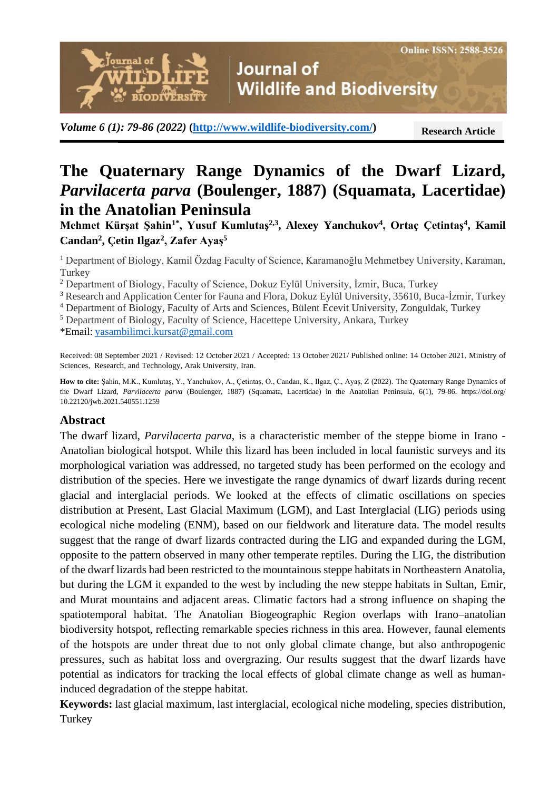**Journal of Wildlife and Biodiversity** 

*Volume 6 (1): 79-86 (2022)* **[\(http://www.wildlife-biodiversity.com/\)](http://www.wildlife-biodiversity.com/)**

**Research Article**

# **The Quaternary Range Dynamics of the Dwarf Lizard,**  *Parvilacerta parva* **(Boulenger, 1887) (Squamata, Lacertidae) in the Anatolian Peninsula**

**Mehmet Kürşat Şahin1\*, Yusuf Kumlutaş2,3, Alexey Yanchukov<sup>4</sup> , Ortaç Çetintaş<sup>4</sup> , Kamil Candan<sup>2</sup> , Çetin Ilgaz<sup>2</sup> , Zafer Ayaş<sup>5</sup>**

<sup>1</sup> Department of Biology, Kamil Özdag Faculty of Science, Karamanoğlu Mehmetbey University, Karaman, **Turkey** 

<sup>2</sup> Department of Biology, Faculty of Science, Dokuz Eylül University, İzmir, Buca, Turkey

<sup>3</sup> Research and Application Center for Fauna and Flora, Dokuz Eylül University, 35610, Buca-İzmir, Turkey

<sup>4</sup> Department of Biology, Faculty of Arts and Sciences, Bülent Ecevit University, Zonguldak, Turkey

<sup>5</sup> Department of Biology, Faculty of Science, Hacettepe University, Ankara, Turkey

\*Email: [yasambilimci.kursat@gmail.com](mailto:yasambilimci.kursat@gmail.com)

,<br>lournal of

**IODIVËRSIT** 

Received: 08 September 2021 / Revised: 12 October 2021 / Accepted: 13 October 2021/ Published online: 14 October 2021. Ministry of Sciences, Research, and Technology, Arak University, Iran.

**How to cite:** Şahin, M.K., Kumlutaş, Y., Yanchukov, A., Çetintaş, O., Candan, K., Ilgaz, Ç., Ayaş, Z (2022). The Quaternary Range Dynamics of the Dwarf Lizard, *Parvilacerta parva* (Boulenger, 1887) (Squamata, Lacertidae) in the Anatolian Peninsula, 6(1), 79-86. https://doi.org/ 10.22120/jwb.2021.540551.1259

#### **Abstract**

The dwarf lizard, *Parvilacerta parva*, is a characteristic member of the steppe biome in Irano - Anatolian biological hotspot. While this lizard has been included in local faunistic surveys and its morphological variation was addressed, no targeted study has been performed on the ecology and distribution of the species. Here we investigate the range dynamics of dwarf lizards during recent glacial and interglacial periods. We looked at the effects of climatic oscillations on species distribution at Present, Last Glacial Maximum (LGM), and Last Interglacial (LIG) periods using ecological niche modeling (ENM), based on our fieldwork and literature data. The model results suggest that the range of dwarf lizards contracted during the LIG and expanded during the LGM, opposite to the pattern observed in many other temperate reptiles. During the LIG, the distribution of the dwarf lizards had been restricted to the mountainous steppe habitats in Northeastern Anatolia, but during the LGM it expanded to the west by including the new steppe habitats in Sultan, Emir, and Murat mountains and adjacent areas. Climatic factors had a strong influence on shaping the spatiotemporal habitat. The Anatolian Biogeographic Region overlaps with Irano–anatolian biodiversity hotspot, reflecting remarkable species richness in this area. However, faunal elements of the hotspots are under threat due to not only global climate change, but also anthropogenic pressures, such as habitat loss and overgrazing. Our results suggest that the dwarf lizards have potential as indicators for tracking the local effects of global climate change as well as humaninduced degradation of the steppe habitat.

**Keywords:** last glacial maximum, last interglacial, ecological niche modeling, species distribution, **Turkey**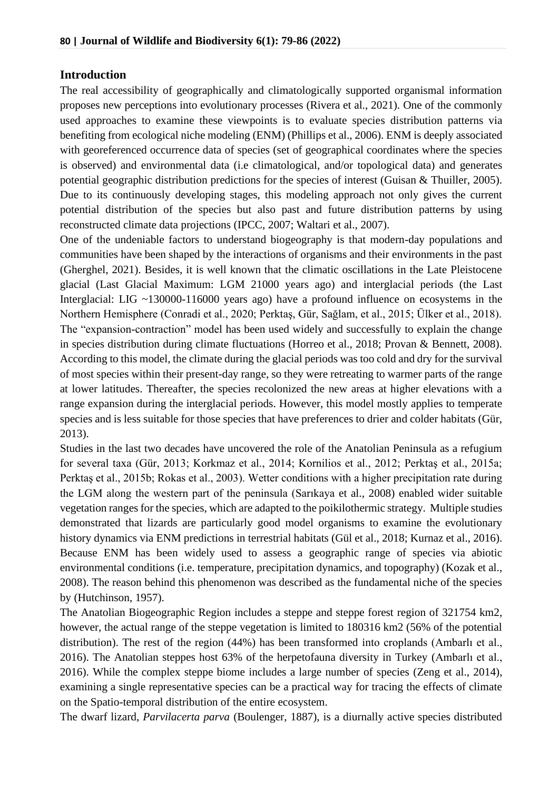## **Introduction**

The real accessibility of geographically and climatologically supported organismal information proposes new perceptions into evolutionary processes (Rivera et al., 2021). One of the commonly used approaches to examine these viewpoints is to evaluate species distribution patterns via benefiting from ecological niche modeling (ENM) (Phillips et al., 2006). ENM is deeply associated with georeferenced occurrence data of species (set of geographical coordinates where the species is observed) and environmental data (i.e climatological, and/or topological data) and generates potential geographic distribution predictions for the species of interest (Guisan & Thuiller, 2005). Due to its continuously developing stages, this modeling approach not only gives the current potential distribution of the species but also past and future distribution patterns by using reconstructed climate data projections (IPCC, 2007; Waltari et al., 2007).

One of the undeniable factors to understand biogeography is that modern-day populations and communities have been shaped by the interactions of organisms and their environments in the past (Gherghel, 2021). Besides, it is well known that the climatic oscillations in the Late Pleistocene glacial (Last Glacial Maximum: LGM 21000 years ago) and interglacial periods (the Last Interglacial: LIG ~130000-116000 years ago) have a profound influence on ecosystems in the Northern Hemisphere (Conradi et al., 2020; Perktaş, Gür, Sağlam, et al., 2015; Ülker et al., 2018). The "expansion-contraction" model has been used widely and successfully to explain the change in species distribution during climate fluctuations (Horreo et al., 2018; Provan & Bennett, 2008). According to this model, the climate during the glacial periods was too cold and dry for the survival of most species within their present-day range, so they were retreating to warmer parts of the range at lower latitudes. Thereafter, the species recolonized the new areas at higher elevations with a range expansion during the interglacial periods. However, this model mostly applies to temperate species and is less suitable for those species that have preferences to drier and colder habitats (Gür, 2013).

Studies in the last two decades have uncovered the role of the Anatolian Peninsula as a refugium for several taxa (Gür, 2013; Korkmaz et al., 2014; Kornilios et al., 2012; Perktaş et al., 2015a; Perktaş et al., 2015b; Rokas et al., 2003). Wetter conditions with a higher precipitation rate during the LGM along the western part of the peninsula (Sarıkaya et al., 2008) enabled wider suitable vegetation ranges for the species, which are adapted to the poikilothermic strategy. Multiple studies demonstrated that lizards are particularly good model organisms to examine the evolutionary history dynamics via ENM predictions in terrestrial habitats (Gül et al., 2018; Kurnaz et al., 2016). Because ENM has been widely used to assess a geographic range of species via abiotic environmental conditions (i.e. temperature, precipitation dynamics, and topography) (Kozak et al., 2008). The reason behind this phenomenon was described as the fundamental niche of the species by (Hutchinson, 1957).

The Anatolian Biogeographic Region includes a steppe and steppe forest region of 321754 km2, however, the actual range of the steppe vegetation is limited to 180316 km2 (56% of the potential distribution). The rest of the region (44%) has been transformed into croplands (Ambarlı et al., 2016). The Anatolian steppes host 63% of the herpetofauna diversity in Turkey (Ambarlı et al., 2016). While the complex steppe biome includes a large number of species (Zeng et al., 2014), examining a single representative species can be a practical way for tracing the effects of climate on the Spatio-temporal distribution of the entire ecosystem.

The dwarf lizard, *Parvilacerta parva* (Boulenger, 1887), is a diurnally active species distributed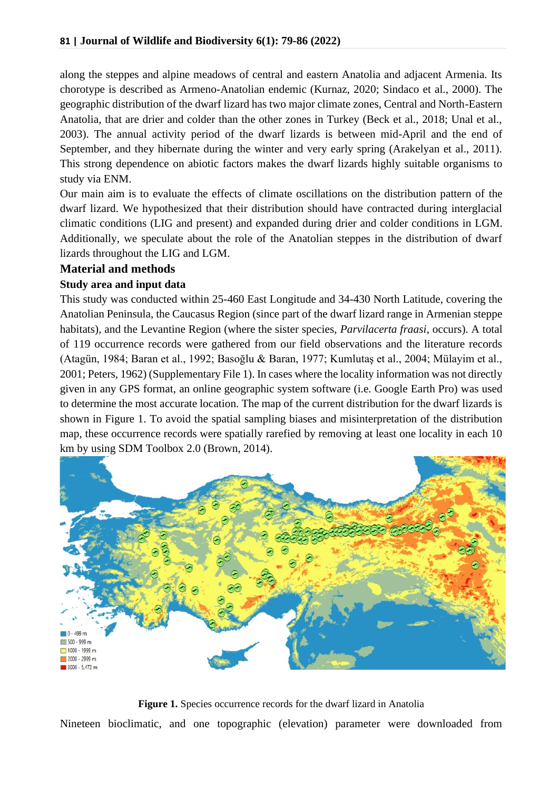along the steppes and alpine meadows of central and eastern Anatolia and adjacent Armenia. Its chorotype is described as Armeno-Anatolian endemic (Kurnaz, 2020; Sindaco et al., 2000). The geographic distribution of the dwarf lizard has two major climate zones, Central and North-Eastern Anatolia, that are drier and colder than the other zones in Turkey (Beck et al., 2018; Unal et al., 2003). The annual activity period of the dwarf lizards is between mid-April and the end of September, and they hibernate during the winter and very early spring (Arakelyan et al., 2011). This strong dependence on abiotic factors makes the dwarf lizards highly suitable organisms to study via ENM.

Our main aim is to evaluate the effects of climate oscillations on the distribution pattern of the dwarf lizard. We hypothesized that their distribution should have contracted during interglacial climatic conditions (LIG and present) and expanded during drier and colder conditions in LGM. Additionally, we speculate about the role of the Anatolian steppes in the distribution of dwarf lizards throughout the LIG and LGM.

## **Material and methods**

## **Study area and input data**

This study was conducted within 25-460 East Longitude and 34-430 North Latitude, covering the Anatolian Peninsula, the Caucasus Region (since part of the dwarf lizard range in Armenian steppe habitats), and the Levantine Region (where the sister species, *Parvilacerta fraasi*, occurs). A total of 119 occurrence records were gathered from our field observations and the literature records (Atagün, 1984; Baran et al., 1992; Basoğlu & Baran, 1977; Kumlutaş et al., 2004; Mülayim et al., 2001; Peters, 1962) (Supplementary File 1). In cases where the locality information was not directly given in any GPS format, an online geographic system software (i.e. Google Earth Pro) was used to determine the most accurate location. The map of the current distribution for the dwarf lizards is shown in Figure 1. To avoid the spatial sampling biases and misinterpretation of the distribution map, these occurrence records were spatially rarefied by removing at least one locality in each 10 km by using SDM Toolbox 2.0 (Brown, 2014).



**Figure 1.** Species occurrence records for the dwarf lizard in Anatolia Nineteen bioclimatic, and one topographic (elevation) parameter were downloaded from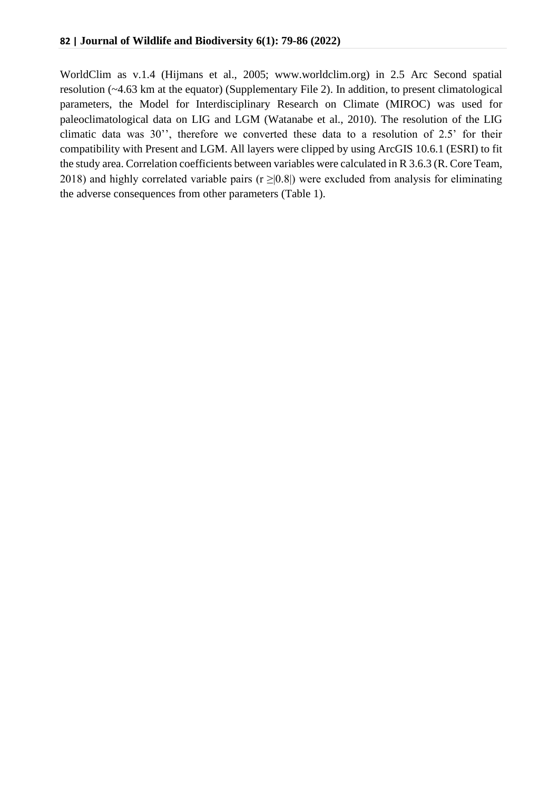WorldClim as v.1.4 (Hijmans et al., 2005; www.worldclim.org) in 2.5 Arc Second spatial resolution (~4.63 km at the equator) (Supplementary File 2). In addition, to present climatological parameters, the Model for Interdisciplinary Research on Climate (MIROC) was used for paleoclimatological data on LIG and LGM (Watanabe et al., 2010). The resolution of the LIG climatic data was 30'', therefore we converted these data to a resolution of 2.5' for their compatibility with Present and LGM. All layers were clipped by using ArcGIS 10.6.1 (ESRI) to fit the study area. Correlation coefficients between variables were calculated in R 3.6.3 (R. Core Team, 2018) and highly correlated variable pairs ( $r \ge |0.8|$ ) were excluded from analysis for eliminating the adverse consequences from other parameters (Table 1).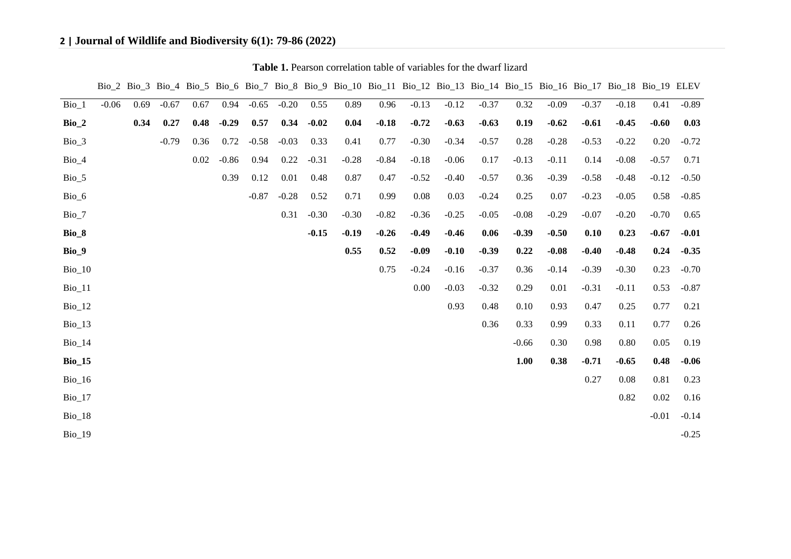## **2 | Journal of Wildlife and Biodiversity 6(1): 79-86 (2022)**

|               |         |      |         |      |         |         |         |         |         | Bio_2 Bio_3 Bio_4 Bio_5 Bio_6 Bio_7 Bio_8 Bio_9 Bio_10 Bio_11 Bio_12 Bio_13 Bio_14 Bio_15 Bio_16 Bio_17 Bio_18 Bio_19 ELEV |          |         |         |         |         |         |          |          |         |
|---------------|---------|------|---------|------|---------|---------|---------|---------|---------|----------------------------------------------------------------------------------------------------------------------------|----------|---------|---------|---------|---------|---------|----------|----------|---------|
| $Bio_1$       | $-0.06$ | 0.69 | $-0.67$ | 0.67 | 0.94    | $-0.65$ | $-0.20$ | 0.55    | 0.89    | 0.96                                                                                                                       | $-0.13$  | $-0.12$ | $-0.37$ | 0.32    | $-0.09$ | $-0.37$ | $-0.18$  | 0.41     | $-0.89$ |
| $Bio_2$       |         | 0.34 | 0.27    | 0.48 | $-0.29$ | 0.57    | 0.34    | $-0.02$ | 0.04    | $-0.18$                                                                                                                    | $-0.72$  | $-0.63$ | $-0.63$ | 0.19    | $-0.62$ | $-0.61$ | $-0.45$  | $-0.60$  | 0.03    |
| $Bio_3$       |         |      | $-0.79$ | 0.36 | 0.72    | $-0.58$ | $-0.03$ | 0.33    | 0.41    | 0.77                                                                                                                       | $-0.30$  | $-0.34$ | $-0.57$ | 0.28    | $-0.28$ | $-0.53$ | $-0.22$  | 0.20     | $-0.72$ |
| $Bio_4$       |         |      |         | 0.02 | $-0.86$ | 0.94    | 0.22    | $-0.31$ | $-0.28$ | $-0.84$                                                                                                                    | $-0.18$  | $-0.06$ | 0.17    | $-0.13$ | $-0.11$ | 0.14    | $-0.08$  | $-0.57$  | 0.71    |
| $Bio_5$       |         |      |         |      | 0.39    | 0.12    | 0.01    | 0.48    | 0.87    | 0.47                                                                                                                       | $-0.52$  | $-0.40$ | $-0.57$ | 0.36    | $-0.39$ | $-0.58$ | $-0.48$  | $-0.12$  | $-0.50$ |
| Bio_6         |         |      |         |      |         | $-0.87$ | $-0.28$ | 0.52    | 0.71    | 0.99                                                                                                                       | 0.08     | 0.03    | $-0.24$ | 0.25    | 0.07    | $-0.23$ | $-0.05$  | 0.58     | $-0.85$ |
| Bio_7         |         |      |         |      |         |         | 0.31    | $-0.30$ | $-0.30$ | $-0.82$                                                                                                                    | $-0.36$  | $-0.25$ | $-0.05$ | $-0.08$ | $-0.29$ | $-0.07$ | $-0.20$  | $-0.70$  | 0.65    |
| Bio_8         |         |      |         |      |         |         |         | $-0.15$ | $-0.19$ | $-0.26$                                                                                                                    | $-0.49$  | $-0.46$ | 0.06    | $-0.39$ | $-0.50$ | 0.10    | 0.23     | $-0.67$  | $-0.01$ |
| Bio_9         |         |      |         |      |         |         |         |         | 0.55    | 0.52                                                                                                                       | $-0.09$  | $-0.10$ | $-0.39$ | 0.22    | $-0.08$ | $-0.40$ | $-0.48$  | 0.24     | $-0.35$ |
| $Bio_10$      |         |      |         |      |         |         |         |         |         | 0.75                                                                                                                       | $-0.24$  | $-0.16$ | $-0.37$ | 0.36    | $-0.14$ | $-0.39$ | $-0.30$  | 0.23     | $-0.70$ |
| $Bio_11$      |         |      |         |      |         |         |         |         |         |                                                                                                                            | $0.00\,$ | $-0.03$ | $-0.32$ | 0.29    | 0.01    | $-0.31$ | $-0.11$  | 0.53     | $-0.87$ |
| $Bio_12$      |         |      |         |      |         |         |         |         |         |                                                                                                                            |          | 0.93    | 0.48    | 0.10    | 0.93    | 0.47    | 0.25     | 0.77     | 0.21    |
| $Bio_13$      |         |      |         |      |         |         |         |         |         |                                                                                                                            |          |         | 0.36    | 0.33    | 0.99    | 0.33    | 0.11     | 0.77     | 0.26    |
| $Bio_14$      |         |      |         |      |         |         |         |         |         |                                                                                                                            |          |         |         | $-0.66$ | 0.30    | 0.98    | 0.80     | 0.05     | 0.19    |
| <b>Bio_15</b> |         |      |         |      |         |         |         |         |         |                                                                                                                            |          |         |         | 1.00    | 0.38    | $-0.71$ | $-0.65$  | 0.48     | $-0.06$ |
| $Bio_16$      |         |      |         |      |         |         |         |         |         |                                                                                                                            |          |         |         |         |         | 0.27    | 0.08     | 0.81     | 0.23    |
| $Bio_17$      |         |      |         |      |         |         |         |         |         |                                                                                                                            |          |         |         |         |         |         | $0.82\,$ | $0.02\,$ | 0.16    |
| $Bio_18$      |         |      |         |      |         |         |         |         |         |                                                                                                                            |          |         |         |         |         |         |          | $-0.01$  | $-0.14$ |
| <b>Bio_19</b> |         |      |         |      |         |         |         |         |         |                                                                                                                            |          |         |         |         |         |         |          |          | $-0.25$ |

**Table 1.** Pearson correlation table of variables for the dwarf lizard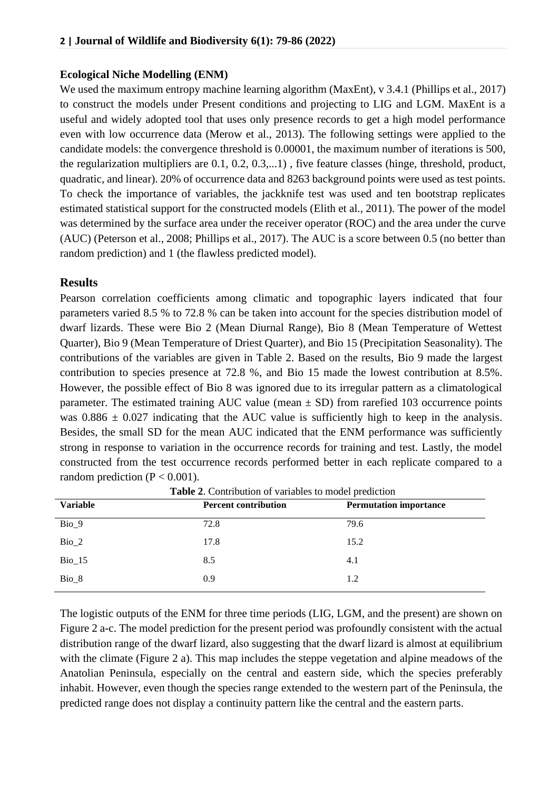#### **Ecological Niche Modelling (ENM)**

We used the maximum entropy machine learning algorithm (MaxEnt), v 3.4.1 (Phillips et al., 2017) to construct the models under Present conditions and projecting to LIG and LGM. MaxEnt is a useful and widely adopted tool that uses only presence records to get a high model performance even with low occurrence data (Merow et al., 2013). The following settings were applied to the candidate models: the convergence threshold is 0.00001, the maximum number of iterations is 500, the regularization multipliers are 0.1, 0.2, 0.3,...1) , five feature classes (hinge, threshold, product, quadratic, and linear). 20% of occurrence data and 8263 background points were used as test points. To check the importance of variables, the jackknife test was used and ten bootstrap replicates estimated statistical support for the constructed models (Elith et al., 2011). The power of the model was determined by the surface area under the receiver operator (ROC) and the area under the curve (AUC) (Peterson et al., 2008; Phillips et al., 2017). The AUC is a score between 0.5 (no better than random prediction) and 1 (the flawless predicted model).

#### **Results**

Pearson correlation coefficients among climatic and topographic layers indicated that four parameters varied 8.5 % to 72.8 % can be taken into account for the species distribution model of dwarf lizards. These were Bio 2 (Mean Diurnal Range), Bio 8 (Mean Temperature of Wettest Quarter), Bio 9 (Mean Temperature of Driest Quarter), and Bio 15 (Precipitation Seasonality). The contributions of the variables are given in Table 2. Based on the results, Bio 9 made the largest contribution to species presence at 72.8 %, and Bio 15 made the lowest contribution at 8.5%. However, the possible effect of Bio 8 was ignored due to its irregular pattern as a climatological parameter. The estimated training AUC value (mean  $\pm$  SD) from rarefied 103 occurrence points was  $0.886 \pm 0.027$  indicating that the AUC value is sufficiently high to keep in the analysis. Besides, the small SD for the mean AUC indicated that the ENM performance was sufficiently strong in response to variation in the occurrence records for training and test. Lastly, the model constructed from the test occurrence records performed better in each replicate compared to a random prediction ( $P < 0.001$ ).

| <b>Variable</b> | <b>Percent contribution</b> | <b>Permutation importance</b> |
|-----------------|-----------------------------|-------------------------------|
| Bio 9           | 72.8                        | 79.6                          |
| $Bio_2$         | 17.8                        | 15.2                          |
| $Bio_15$        | 8.5                         | 4.1                           |
| $Bio_8$         | 0.9                         | 1.2                           |

**Table 2**. Contribution of variables to model prediction

The logistic outputs of the ENM for three time periods (LIG, LGM, and the present) are shown on Figure 2 a-c. The model prediction for the present period was profoundly consistent with the actual distribution range of the dwarf lizard, also suggesting that the dwarf lizard is almost at equilibrium with the climate (Figure 2 a). This map includes the steppe vegetation and alpine meadows of the Anatolian Peninsula, especially on the central and eastern side, which the species preferably inhabit. However, even though the species range extended to the western part of the Peninsula, the predicted range does not display a continuity pattern like the central and the eastern parts.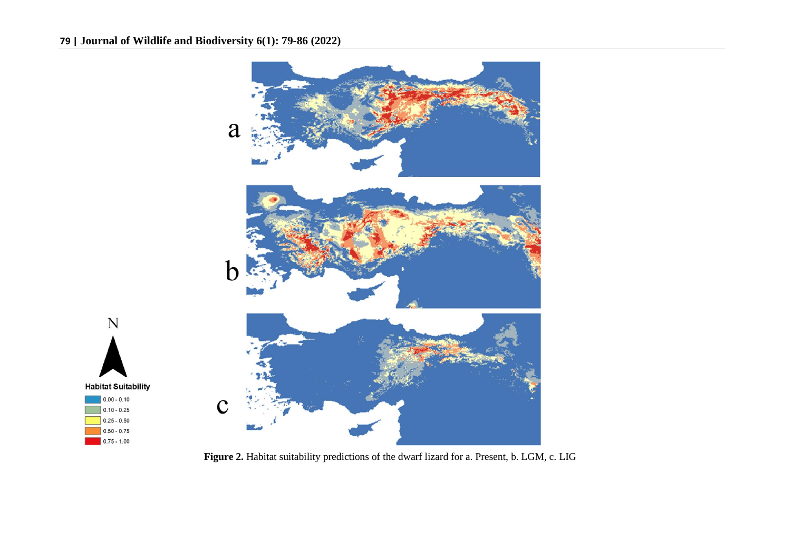N

**Habitat Suitability**  $|0.00 - 0.10|$ 

 $0.10 - 0.25$  $0.25 - 0.50$  $\boxed{0.50 - 0.75}$  $\begin{array}{|c|c|} \hline \textbf{0.75 - 1.00} \hline \end{array}$ 



**Figure 2.** Habitat suitability predictions of the dwarf lizard for a. Present, b. LGM, c. LIG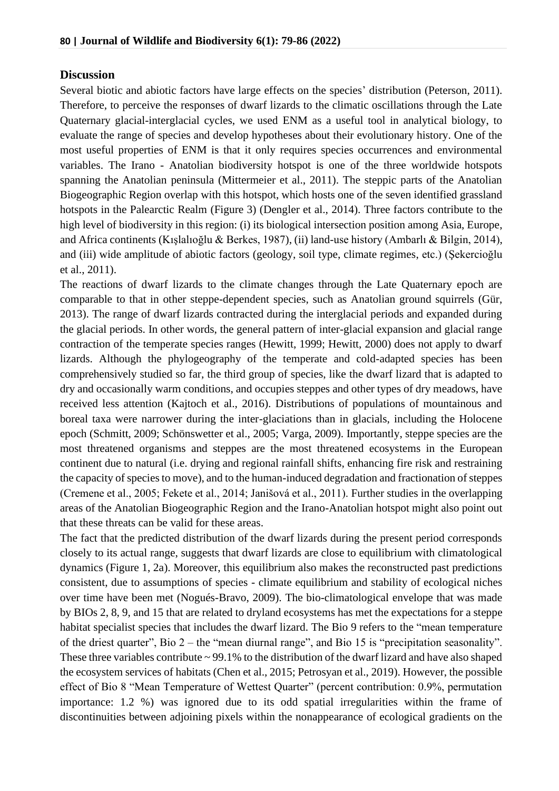## **Discussion**

Several biotic and abiotic factors have large effects on the species' distribution (Peterson, 2011). Therefore, to perceive the responses of dwarf lizards to the climatic oscillations through the Late Quaternary glacial-interglacial cycles, we used ENM as a useful tool in analytical biology, to evaluate the range of species and develop hypotheses about their evolutionary history. One of the most useful properties of ENM is that it only requires species occurrences and environmental variables. The Irano - Anatolian biodiversity hotspot is one of the three worldwide hotspots spanning the Anatolian peninsula (Mittermeier et al., 2011). The steppic parts of the Anatolian Biogeographic Region overlap with this hotspot, which hosts one of the seven identified grassland hotspots in the Palearctic Realm (Figure 3) (Dengler et al., 2014). Three factors contribute to the high level of biodiversity in this region: (i) its biological intersection position among Asia, Europe, and Africa continents (Kışlalıoğlu & Berkes, 1987), (ii) land-use history (Ambarlı & Bilgin, 2014), and (iii) wide amplitude of abiotic factors (geology, soil type, climate regimes, etc.) (Şekercioğlu et al., 2011).

The reactions of dwarf lizards to the climate changes through the Late Quaternary epoch are comparable to that in other steppe-dependent species, such as Anatolian ground squirrels (Gür, 2013). The range of dwarf lizards contracted during the interglacial periods and expanded during the glacial periods. In other words, the general pattern of inter-glacial expansion and glacial range contraction of the temperate species ranges (Hewitt, 1999; Hewitt, 2000) does not apply to dwarf lizards. Although the phylogeography of the temperate and cold-adapted species has been comprehensively studied so far, the third group of species, like the dwarf lizard that is adapted to dry and occasionally warm conditions, and occupies steppes and other types of dry meadows, have received less attention (Kajtoch et al., 2016). Distributions of populations of mountainous and boreal taxa were narrower during the inter-glaciations than in glacials, including the Holocene epoch (Schmitt, 2009; Schönswetter et al., 2005; Varga, 2009). Importantly, steppe species are the most threatened organisms and steppes are the most threatened ecosystems in the European continent due to natural (i.e. drying and regional rainfall shifts, enhancing fire risk and restraining the capacity of species to move), and to the human-induced degradation and fractionation of steppes (Cremene et al., 2005; Fekete et al., 2014; Janišová et al., 2011). Further studies in the overlapping areas of the Anatolian Biogeographic Region and the Irano-Anatolian hotspot might also point out that these threats can be valid for these areas.

The fact that the predicted distribution of the dwarf lizards during the present period corresponds closely to its actual range, suggests that dwarf lizards are close to equilibrium with climatological dynamics (Figure 1, 2a). Moreover, this equilibrium also makes the reconstructed past predictions consistent, due to assumptions of species - climate equilibrium and stability of ecological niches over time have been met (Nogués-Bravo, 2009). The bio-climatological envelope that was made by BIOs 2, 8, 9, and 15 that are related to dryland ecosystems has met the expectations for a steppe habitat specialist species that includes the dwarf lizard. The Bio 9 refers to the "mean temperature" of the driest quarter", Bio 2 – the "mean diurnal range", and Bio 15 is "precipitation seasonality". These three variables contribute  $\sim$  99.1% to the distribution of the dwarf lizard and have also shaped the ecosystem services of habitats (Chen et al., 2015; Petrosyan et al., 2019). However, the possible effect of Bio 8 "Mean Temperature of Wettest Quarter" (percent contribution: 0.9%, permutation importance: 1.2 %) was ignored due to its odd spatial irregularities within the frame of discontinuities between adjoining pixels within the nonappearance of ecological gradients on the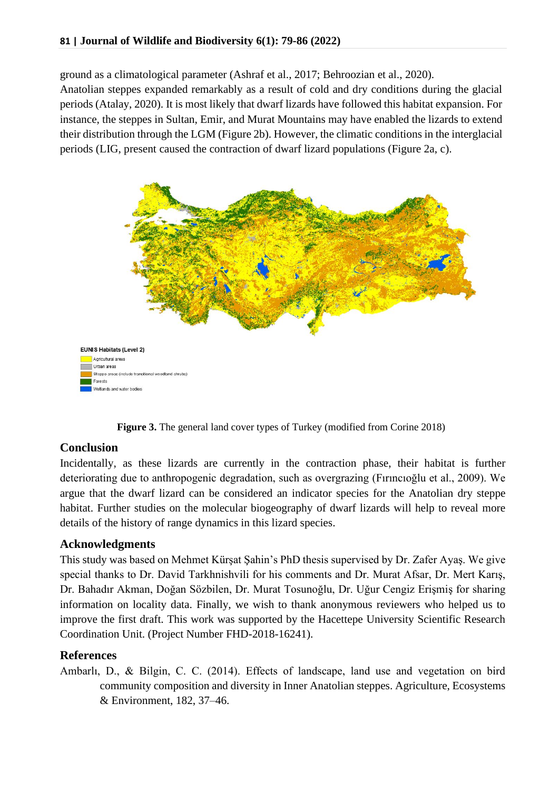ground as a climatological parameter (Ashraf et al., 2017; Behroozian et al., 2020).

Anatolian steppes expanded remarkably as a result of cold and dry conditions during the glacial periods (Atalay, 2020). It is most likely that dwarf lizards have followed this habitat expansion. For instance, the steppes in Sultan, Emir, and Murat Mountains may have enabled the lizards to extend their distribution through the LGM (Figure 2b). However, the climatic conditions in the interglacial periods (LIG, present caused the contraction of dwarf lizard populations (Figure 2a, c).



**Figure 3.** The general land cover types of Turkey (modified from Corine 2018)

## **Conclusion**

Incidentally, as these lizards are currently in the contraction phase, their habitat is further deteriorating due to anthropogenic degradation, such as overgrazing (Fırıncıoğlu et al., 2009). We argue that the dwarf lizard can be considered an indicator species for the Anatolian dry steppe habitat. Further studies on the molecular biogeography of dwarf lizards will help to reveal more details of the history of range dynamics in this lizard species.

## **Acknowledgments**

This study was based on Mehmet Kürşat Şahin's PhD thesis supervised by Dr. Zafer Ayaş. We give special thanks to Dr. David Tarkhnishvili for his comments and Dr. Murat Afsar, Dr. Mert Karış, Dr. Bahadır Akman, Doğan Sözbilen, Dr. Murat Tosunoğlu, Dr. Uğur Cengiz Erişmiş for sharing information on locality data. Finally, we wish to thank anonymous reviewers who helped us to improve the first draft. This work was supported by the Hacettepe University Scientific Research Coordination Unit. (Project Number FHD-2018-16241).

## **References**

Ambarlı, D., & Bilgin, C. C. (2014). Effects of landscape, land use and vegetation on bird community composition and diversity in Inner Anatolian steppes. Agriculture, Ecosystems & Environment, 182, 37–46.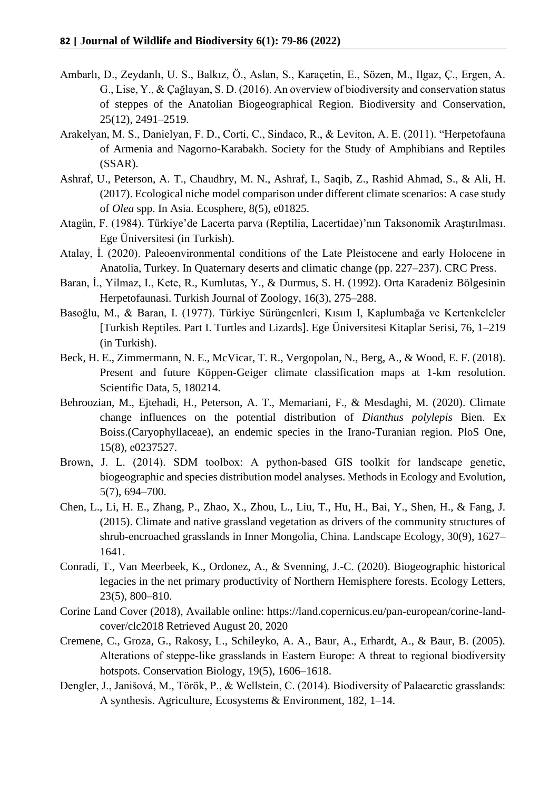- Ambarlı, D., Zeydanlı, U. S., Balkız, Ö., Aslan, S., Karaçetin, E., Sözen, M., Ilgaz, Ç., Ergen, A. G., Lise, Y., & Çağlayan, S. D. (2016). An overview of biodiversity and conservation status of steppes of the Anatolian Biogeographical Region. Biodiversity and Conservation, 25(12), 2491–2519.
- Arakelyan, M. S., Danielyan, F. D., Corti, C., Sindaco, R., & Leviton, A. E. (2011). "Herpetofauna of Armenia and Nagorno-Karabakh. Society for the Study of Amphibians and Reptiles (SSAR).
- Ashraf, U., Peterson, A. T., Chaudhry, M. N., Ashraf, I., Saqib, Z., Rashid Ahmad, S., & Ali, H. (2017). Ecological niche model comparison under different climate scenarios: A case study of *Olea* spp. In Asia. Ecosphere, 8(5), e01825.
- Atagün, F. (1984). Türkiye'de Lacerta parva (Reptilia, Lacertidae)'nın Taksonomik Araştırılması. Ege Üniversitesi (in Turkish).
- Atalay, İ. (2020). Paleoenvironmental conditions of the Late Pleistocene and early Holocene in Anatolia, Turkey. In Quaternary deserts and climatic change (pp. 227–237). CRC Press.
- Baran, İ., Yilmaz, I., Kete, R., Kumlutas, Y., & Durmus, S. H. (1992). Orta Karadeniz Bölgesinin Herpetofaunasi. Turkish Journal of Zoology, 16(3), 275–288.
- Basoğlu, M., & Baran, I. (1977). Türkiye Sürüngenleri, Kısım I, Kaplumbağa ve Kertenkeleler [Turkish Reptiles. Part I. Turtles and Lizards]. Ege Üniversitesi Kitaplar Serisi, 76, 1–219 (in Turkish).
- Beck, H. E., Zimmermann, N. E., McVicar, T. R., Vergopolan, N., Berg, A., & Wood, E. F. (2018). Present and future Köppen-Geiger climate classification maps at 1-km resolution. Scientific Data, 5, 180214.
- Behroozian, M., Ejtehadi, H., Peterson, A. T., Memariani, F., & Mesdaghi, M. (2020). Climate change influences on the potential distribution of *Dianthus polylepis* Bien. Ex Boiss.(Caryophyllaceae), an endemic species in the Irano-Turanian region. PloS One, 15(8), e0237527.
- Brown, J. L. (2014). SDM toolbox: A python-based GIS toolkit for landscape genetic, biogeographic and species distribution model analyses. Methods in Ecology and Evolution, 5(7), 694–700.
- Chen, L., Li, H. E., Zhang, P., Zhao, X., Zhou, L., Liu, T., Hu, H., Bai, Y., Shen, H., & Fang, J. (2015). Climate and native grassland vegetation as drivers of the community structures of shrub-encroached grasslands in Inner Mongolia, China. Landscape Ecology, 30(9), 1627– 1641.
- Conradi, T., Van Meerbeek, K., Ordonez, A., & Svenning, J.-C. (2020). Biogeographic historical legacies in the net primary productivity of Northern Hemisphere forests. Ecology Letters, 23(5), 800–810.
- Corine Land Cover (2018), Available online: https://land.copernicus.eu/pan-european/corine-landcover/clc2018 Retrieved August 20, 2020
- Cremene, C., Groza, G., Rakosy, L., Schileyko, A. A., Baur, A., Erhardt, A., & Baur, B. (2005). Alterations of steppe‐like grasslands in Eastern Europe: A threat to regional biodiversity hotspots. Conservation Biology, 19(5), 1606–1618.
- Dengler, J., Janišová, M., Török, P., & Wellstein, C. (2014). Biodiversity of Palaearctic grasslands: A synthesis. Agriculture, Ecosystems & Environment, 182, 1–14.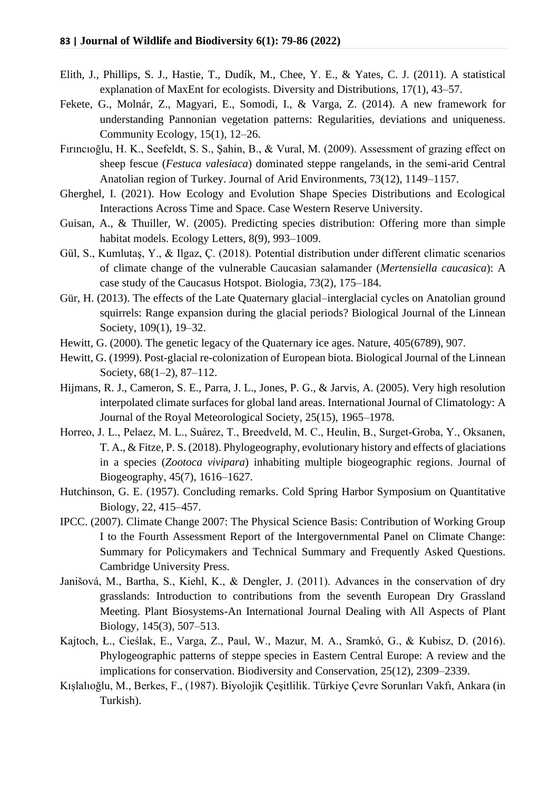- Elith, J., Phillips, S. J., Hastie, T., Dudík, M., Chee, Y. E., & Yates, C. J. (2011). A statistical explanation of MaxEnt for ecologists. Diversity and Distributions, 17(1), 43–57.
- Fekete, G., Molnár, Z., Magyari, E., Somodi, I., & Varga, Z. (2014). A new framework for understanding Pannonian vegetation patterns: Regularities, deviations and uniqueness. Community Ecology, 15(1), 12–26.
- Fırıncıoğlu, H. K., Seefeldt, S. S., Şahin, B., & Vural, M. (2009). Assessment of grazing effect on sheep fescue (*Festuca valesiaca*) dominated steppe rangelands, in the semi-arid Central Anatolian region of Turkey. Journal of Arid Environments, 73(12), 1149–1157.
- Gherghel, I. (2021). How Ecology and Evolution Shape Species Distributions and Ecological Interactions Across Time and Space. Case Western Reserve University.
- Guisan, A., & Thuiller, W. (2005). Predicting species distribution: Offering more than simple habitat models. Ecology Letters, 8(9), 993–1009.
- Gül, S., Kumlutaş, Y., & Ilgaz, Ç. (2018). Potential distribution under different climatic scenarios of climate change of the vulnerable Caucasian salamander (*Mertensiella caucasica*): A case study of the Caucasus Hotspot. Biologia, 73(2), 175–184.
- Gür, H. (2013). The effects of the Late Quaternary glacial–interglacial cycles on Anatolian ground squirrels: Range expansion during the glacial periods? Biological Journal of the Linnean Society, 109(1), 19–32.
- Hewitt, G. (2000). The genetic legacy of the Quaternary ice ages. Nature, 405(6789), 907.
- Hewitt, G. (1999). Post-glacial re-colonization of European biota. Biological Journal of the Linnean Society, 68(1–2), 87–112.
- Hijmans, R. J., Cameron, S. E., Parra, J. L., Jones, P. G., & Jarvis, A. (2005). Very high resolution interpolated climate surfaces for global land areas. International Journal of Climatology: A Journal of the Royal Meteorological Society, 25(15), 1965–1978.
- Horreo, J. L., Pelaez, M. L., Suárez, T., Breedveld, M. C., Heulin, B., Surget‐Groba, Y., Oksanen, T. A., & Fitze, P. S. (2018). Phylogeography, evolutionary history and effects of glaciations in a species (*Zootoca vivipara*) inhabiting multiple biogeographic regions. Journal of Biogeography, 45(7), 1616–1627.
- Hutchinson, G. E. (1957). Concluding remarks. Cold Spring Harbor Symposium on Quantitative Biology, 22, 415–457.
- IPCC. (2007). Climate Change 2007: The Physical Science Basis: Contribution of Working Group I to the Fourth Assessment Report of the Intergovernmental Panel on Climate Change: Summary for Policymakers and Technical Summary and Frequently Asked Questions. Cambridge University Press.
- Janišová, M., Bartha, S., Kiehl, K., & Dengler, J. (2011). Advances in the conservation of dry grasslands: Introduction to contributions from the seventh European Dry Grassland Meeting. Plant Biosystems-An International Journal Dealing with All Aspects of Plant Biology, 145(3), 507–513.
- Kajtoch, Ł., Cieślak, E., Varga, Z., Paul, W., Mazur, M. A., Sramkó, G., & Kubisz, D. (2016). Phylogeographic patterns of steppe species in Eastern Central Europe: A review and the implications for conservation. Biodiversity and Conservation, 25(12), 2309–2339.
- Kışlalıoğlu, M., Berkes, F., (1987). Biyolojik Çeşitlilik. Türkiye Çevre Sorunları Vakfı, Ankara (in Turkish).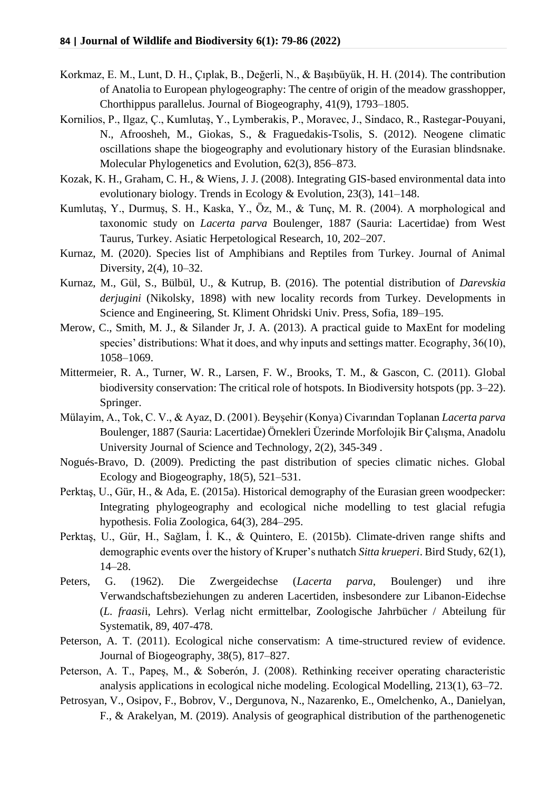- Korkmaz, E. M., Lunt, D. H., Çıplak, B., Değerli, N., & Başıbüyük, H. H. (2014). The contribution of Anatolia to European phylogeography: The centre of origin of the meadow grasshopper, Chorthippus parallelus. Journal of Biogeography, 41(9), 1793–1805.
- Kornilios, P., Ilgaz, Ç., Kumlutaş, Y., Lymberakis, P., Moravec, J., Sindaco, R., Rastegar-Pouyani, N., Afroosheh, M., Giokas, S., & Fraguedakis-Tsolis, S. (2012). Neogene climatic oscillations shape the biogeography and evolutionary history of the Eurasian blindsnake. Molecular Phylogenetics and Evolution, 62(3), 856–873.
- Kozak, K. H., Graham, C. H., & Wiens, J. J. (2008). Integrating GIS-based environmental data into evolutionary biology. Trends in Ecology & Evolution, 23(3), 141–148.
- Kumlutaş, Y., Durmuş, S. H., Kaska, Y., Öz, M., & Tunç, M. R. (2004). A morphological and taxonomic study on *Lacerta parva* Boulenger, 1887 (Sauria: Lacertidae) from West Taurus, Turkey. Asiatic Herpetological Research, 10, 202–207.
- Kurnaz, M. (2020). Species list of Amphibians and Reptiles from Turkey. Journal of Animal Diversity, 2(4), 10–32.
- Kurnaz, M., Gül, S., Bülbül, U., & Kutrup, B. (2016). The potential distribution of *Darevskia derjugini* (Nikolsky, 1898) with new locality records from Turkey. Developments in Science and Engineering, St. Kliment Ohridski Univ. Press, Sofia, 189–195.
- Merow, C., Smith, M. J., & Silander Jr, J. A. (2013). A practical guide to MaxEnt for modeling species' distributions: What it does, and why inputs and settings matter. Ecography, 36(10), 1058–1069.
- Mittermeier, R. A., Turner, W. R., Larsen, F. W., Brooks, T. M., & Gascon, C. (2011). Global biodiversity conservation: The critical role of hotspots. In Biodiversity hotspots (pp. 3–22). Springer.
- Mülayim, A., Tok, C. V., & Ayaz, D. (2001). Beyşehir (Konya) Civarından Toplanan *Lacerta parva* Boulenger, 1887 (Sauria: Lacertidae) Örnekleri Üzerinde Morfolojik Bir Çalışma, Anadolu University Journal of Science and Technology, 2(2), 345-349 .
- Nogués-Bravo, D. (2009). Predicting the past distribution of species climatic niches. Global Ecology and Biogeography, 18(5), 521–531.
- Perktaş, U., Gür, H., & Ada, E. (2015a). Historical demography of the Eurasian green woodpecker: Integrating phylogeography and ecological niche modelling to test glacial refugia hypothesis. Folia Zoologica, 64(3), 284–295.
- Perktaş, U., Gür, H., Sağlam, İ. K., & Quintero, E. (2015b). Climate-driven range shifts and demographic events over the history of Kruper's nuthatch *Sitta krueperi*. Bird Study, 62(1), 14–28.
- Peters, G. (1962). Die Zwergeidechse (*Lacerta parva*, Boulenger) und ihre Verwandschaftsbeziehungen zu anderen Lacertiden, insbesondere zur Libanon-Eidechse (*L. fraasi*i, Lehrs). Verlag nicht ermittelbar, Zoologische Jahrbücher / Abteilung für Systematik, 89, 407-478.
- Peterson, A. T. (2011). Ecological niche conservatism: A time-structured review of evidence. Journal of Biogeography, 38(5), 817–827.
- Peterson, A. T., Papeş, M., & Soberón, J. (2008). Rethinking receiver operating characteristic analysis applications in ecological niche modeling. Ecological Modelling, 213(1), 63–72.
- Petrosyan, V., Osipov, F., Bobrov, V., Dergunova, N., Nazarenko, E., Omelchenko, A., Danielyan, F., & Arakelyan, M. (2019). Analysis of geographical distribution of the parthenogenetic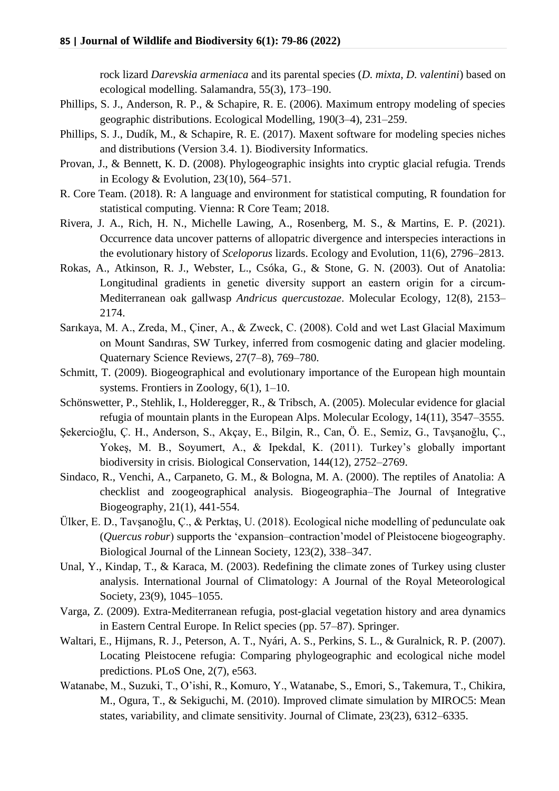rock lizard *Darevskia armeniaca* and its parental species (*D. mixta*, *D. valentini*) based on ecological modelling. Salamandra, 55(3), 173–190.

- Phillips, S. J., Anderson, R. P., & Schapire, R. E. (2006). Maximum entropy modeling of species geographic distributions. Ecological Modelling, 190(3–4), 231–259.
- Phillips, S. J., Dudík, M., & Schapire, R. E. (2017). Maxent software for modeling species niches and distributions (Version 3.4. 1). Biodiversity Informatics.
- Provan, J., & Bennett, K. D. (2008). Phylogeographic insights into cryptic glacial refugia. Trends in Ecology & Evolution, 23(10), 564–571.
- R. Core Team. (2018). R: A language and environment for statistical computing, R foundation for statistical computing. Vienna: R Core Team; 2018.
- Rivera, J. A., Rich, H. N., Michelle Lawing, A., Rosenberg, M. S., & Martins, E. P. (2021). Occurrence data uncover patterns of allopatric divergence and interspecies interactions in the evolutionary history of *Sceloporus* lizards. Ecology and Evolution, 11(6), 2796–2813.
- Rokas, A., Atkinson, R. J., Webster, L., Csóka, G., & Stone, G. N. (2003). Out of Anatolia: Longitudinal gradients in genetic diversity support an eastern origin for a circum-Mediterranean oak gallwasp *Andricus quercustozae*. Molecular Ecology, 12(8), 2153– 2174.
- Sarıkaya, M. A., Zreda, M., Çiner, A., & Zweck, C. (2008). Cold and wet Last Glacial Maximum on Mount Sandıras, SW Turkey, inferred from cosmogenic dating and glacier modeling. Quaternary Science Reviews, 27(7–8), 769–780.
- Schmitt, T. (2009). Biogeographical and evolutionary importance of the European high mountain systems. Frontiers in Zoology, 6(1), 1–10.
- Schönswetter, P., Stehlik, I., Holderegger, R., & Tribsch, A. (2005). Molecular evidence for glacial refugia of mountain plants in the European Alps. Molecular Ecology, 14(11), 3547–3555.
- Şekercioğlu, Ç. H., Anderson, S., Akçay, E., Bilgin, R., Can, Ö. E., Semiz, G., Tavşanoğlu, Ç., Yokeş, M. B., Soyumert, A., & Ipekdal, K. (2011). Turkey's globally important biodiversity in crisis. Biological Conservation, 144(12), 2752–2769.
- Sindaco, R., Venchi, A., Carpaneto, G. M., & Bologna, M. A. (2000). The reptiles of Anatolia: A checklist and zoogeographical analysis. Biogeographia–The Journal of Integrative Biogeography, 21(1), 441-554.
- Ülker, E. D., Tavşanoğlu, Ç., & Perktaş, U. (2018). Ecological niche modelling of pedunculate oak (*Quercus robur*) supports the 'expansion–contraction'model of Pleistocene biogeography. Biological Journal of the Linnean Society, 123(2), 338–347.
- Unal, Y., Kindap, T., & Karaca, M. (2003). Redefining the climate zones of Turkey using cluster analysis. International Journal of Climatology: A Journal of the Royal Meteorological Society, 23(9), 1045–1055.
- Varga, Z. (2009). Extra-Mediterranean refugia, post-glacial vegetation history and area dynamics in Eastern Central Europe. In Relict species (pp. 57–87). Springer.
- Waltari, E., Hijmans, R. J., Peterson, A. T., Nyári, A. S., Perkins, S. L., & Guralnick, R. P. (2007). Locating Pleistocene refugia: Comparing phylogeographic and ecological niche model predictions. PLoS One, 2(7), e563.
- Watanabe, M., Suzuki, T., O'ishi, R., Komuro, Y., Watanabe, S., Emori, S., Takemura, T., Chikira, M., Ogura, T., & Sekiguchi, M. (2010). Improved climate simulation by MIROC5: Mean states, variability, and climate sensitivity. Journal of Climate, 23(23), 6312–6335.